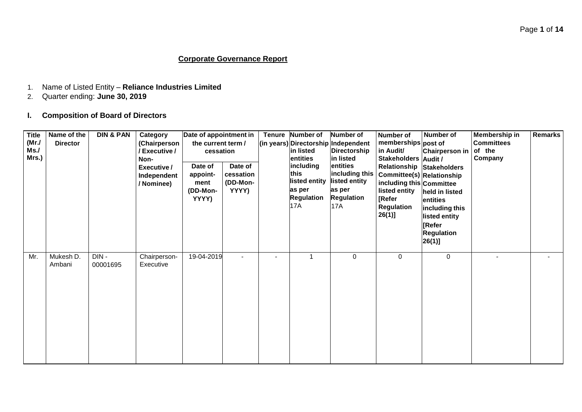### **Corporate Governance Report**

- 1. Name of Listed Entity **Reliance Industries Limited**
- 2. Quarter ending: **June 30, 2019**

## **I. Composition of Board of Directors**

| <b>Title</b><br>(MrJ)<br>Ms./<br>Mrs.) | Name of the<br><b>Director</b> | <b>DIN &amp; PAN</b> | Category<br>(Chairperson<br>/ Executive /<br>Non-<br>Executive /<br>Independent<br>/ Nominee) | Date of appointment in<br>the current term /<br>cessation<br>Date of<br>appoint-<br>ment<br>(DD-Mon-<br>YYYY) | Date of<br>cessation<br>(DD-Mon-<br>YYYY) |                          | Tenure Number of<br>in listed<br>entities<br>including<br>this<br>listed entity<br>as per<br><b>Regulation</b><br>17A | Number of<br>(in years) Directorship Independent<br>Directorship<br>in listed<br>entities<br>including this<br>listed entity<br>as per<br><b>Regulation</b><br><b>17A</b> | Number of<br>memberships post of<br>in Audit/<br>Stakeholders Audit /<br>Relationship Stakeholders<br>Committee(s) Relationship<br>including this Committee<br>listed entity<br>[Refer<br>Regulation<br>$26(1)$ ] | Number of<br>Chairperson in<br>held in listed<br>entities<br>including this<br>listed entity<br>[Refer<br><b>Regulation</b><br>$26(1)$ ] | Membership in<br><b>Committees</b><br>of the<br>Company | <b>Remarks</b> |
|----------------------------------------|--------------------------------|----------------------|-----------------------------------------------------------------------------------------------|---------------------------------------------------------------------------------------------------------------|-------------------------------------------|--------------------------|-----------------------------------------------------------------------------------------------------------------------|---------------------------------------------------------------------------------------------------------------------------------------------------------------------------|-------------------------------------------------------------------------------------------------------------------------------------------------------------------------------------------------------------------|------------------------------------------------------------------------------------------------------------------------------------------|---------------------------------------------------------|----------------|
| Mr.                                    | Mukesh D.<br>Ambani            | DIN-<br>00001695     | Chairperson-<br>Executive                                                                     | 19-04-2019                                                                                                    |                                           | $\overline{\phantom{0}}$ | 1                                                                                                                     | 0                                                                                                                                                                         | 0                                                                                                                                                                                                                 | $\mathbf 0$                                                                                                                              |                                                         |                |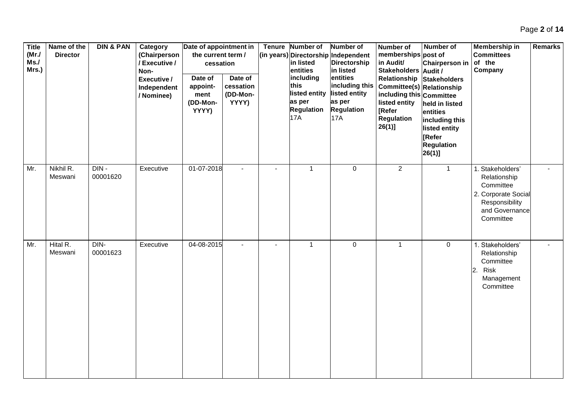| <b>Title</b><br>(MrJ)<br>Ms.<br>Mrs.) | Name of the<br><b>Director</b> | <b>DIN &amp; PAN</b> | Category<br>(Chairperson<br>/ Executive /<br>Non-<br>Executive /<br>Independent<br>/ Nominee) | Date of appointment in<br>the current term /<br>cessation<br>Date of<br>appoint-<br>ment<br>(DD-Mon-<br>YYYY) | Date of<br>cessation<br>(DD-Mon-<br>YYYY) | Tenure Number of<br>in listed<br>entities<br>including<br>this<br>listed entity<br>as per<br><b>Regulation</b><br><b>17A</b> | Number of<br>(in years) Directorship Independent<br>Directorship<br>in listed<br>entities<br>including this<br>listed entity<br>as per<br><b>Regulation</b><br><b>17A</b> | <b>Number of</b><br>memberships post of<br>in Audit/<br>Stakeholders Audit /<br>Relationship<br><b>Committee(s) Relationship</b><br>including this Committee<br>listed entity<br>[Refer<br><b>Regulation</b><br>$26(1)$ ] | <b>Number of</b><br><b>Chairperson in</b><br>Stakeholders<br>held in listed<br>entities<br>including this<br>listed entity<br>[Refer<br><b>Regulation</b><br>$26(1)$ ] | <b>Membership in</b><br><b>Committees</b><br>of the<br>Company                                                        | <b>Remarks</b> |
|---------------------------------------|--------------------------------|----------------------|-----------------------------------------------------------------------------------------------|---------------------------------------------------------------------------------------------------------------|-------------------------------------------|------------------------------------------------------------------------------------------------------------------------------|---------------------------------------------------------------------------------------------------------------------------------------------------------------------------|---------------------------------------------------------------------------------------------------------------------------------------------------------------------------------------------------------------------------|------------------------------------------------------------------------------------------------------------------------------------------------------------------------|-----------------------------------------------------------------------------------------------------------------------|----------------|
| Mr.                                   | Nikhil R.<br>Meswani           | DIN-<br>00001620     | Executive                                                                                     | 01-07-2018                                                                                                    | $\blacksquare$                            | $\mathbf{1}$                                                                                                                 | $\mathsf{O}$                                                                                                                                                              | $\overline{2}$                                                                                                                                                                                                            | $\mathbf{1}$                                                                                                                                                           | 1. Stakeholders'<br>Relationship<br>Committee<br>2. Corporate Social<br>Responsibility<br>and Governance<br>Committee |                |
| Mr.                                   | Hital R.<br>Meswani            | DIN-<br>00001623     | Executive                                                                                     | 04-08-2015                                                                                                    | $\sim$                                    | $\mathbf{1}$                                                                                                                 | $\mathsf{O}\xspace$                                                                                                                                                       | $\mathbf{1}$                                                                                                                                                                                                              | 0                                                                                                                                                                      | 1. Stakeholders'<br>Relationship<br>Committee<br>Risk<br>2.<br>Management<br>Committee                                |                |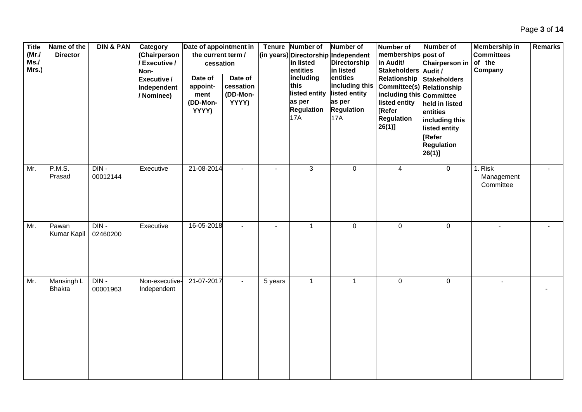| <b>Title</b><br>(MrJ)<br>Ms.<br>Mrs.) | Name of the<br><b>Director</b> | <b>DIN &amp; PAN</b> | Category<br>(Chairperson<br>/ Executive /<br>Non-<br>Executive /<br>Independent<br>/ Nominee) | Date of appointment in<br>the current term /<br>cessation<br>Date of<br>appoint-<br>ment<br>(DD-Mon-<br>YYYY) | Date of<br>cessation<br>(DD-Mon-<br>YYYY) |         | Tenure Number of<br>in listed<br>entities<br>including<br>this<br>listed entity<br>as per<br><b>Regulation</b><br>17A | Number of<br>(in years) Directorship Independent<br>Directorship<br>in listed<br>entities<br>including this<br>listed entity<br>as per<br><b>Regulation</b><br><b>17A</b> | <b>Number of</b><br>memberships post of<br>in Audit/<br>Stakeholders Audit /<br>Relationship<br>Committee(s) Relationship<br>including this Committee<br>listed entity<br>[Refer<br><b>Regulation</b><br>$26(1)$ ] | Number of<br>Chairperson in<br><b>Stakeholders</b><br>held in listed<br>entities<br>including this<br>listed entity<br>[Refer<br><b>Regulation</b><br>$26(1)$ ] | Membership in<br><b>Committees</b><br>of the<br>Company | <b>Remarks</b> |
|---------------------------------------|--------------------------------|----------------------|-----------------------------------------------------------------------------------------------|---------------------------------------------------------------------------------------------------------------|-------------------------------------------|---------|-----------------------------------------------------------------------------------------------------------------------|---------------------------------------------------------------------------------------------------------------------------------------------------------------------------|--------------------------------------------------------------------------------------------------------------------------------------------------------------------------------------------------------------------|-----------------------------------------------------------------------------------------------------------------------------------------------------------------|---------------------------------------------------------|----------------|
| Mr.                                   | <b>P.M.S.</b><br>Prasad        | $DIN -$<br>00012144  | Executive                                                                                     | 21-08-2014                                                                                                    | $\overline{\phantom{a}}$                  |         | $\overline{3}$                                                                                                        | $\pmb{0}$                                                                                                                                                                 | $\overline{4}$                                                                                                                                                                                                     | $\overline{0}$                                                                                                                                                  | 1. Risk<br>Management<br>Committee                      |                |
| Mr.                                   | Pawan<br>Kumar Kapil           | DIN-<br>02460200     | Executive                                                                                     | 16-05-2018                                                                                                    | $\overline{\phantom{a}}$                  |         | $\mathbf{1}$                                                                                                          | $\mathbf 0$                                                                                                                                                               | $\mathbf 0$                                                                                                                                                                                                        | 0                                                                                                                                                               | $\overline{a}$                                          |                |
| Mr.                                   | Mansingh L<br><b>Bhakta</b>    | $DIN -$<br>00001963  | Non-executive-<br>Independent                                                                 | 21-07-2017                                                                                                    | $\blacksquare$                            | 5 years | $\mathbf{1}$                                                                                                          | $\mathbf{1}$                                                                                                                                                              | $\mathbf 0$                                                                                                                                                                                                        | 0                                                                                                                                                               |                                                         |                |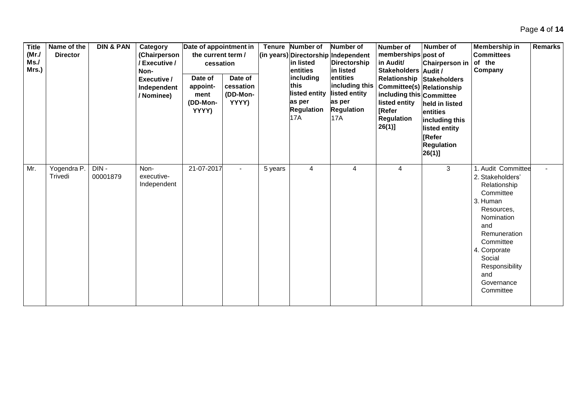| <b>Title</b><br>(MrJ)<br>Ms.<br>Mrs.) | Name of the<br><b>Director</b> | <b>DIN &amp; PAN</b> | Category<br>(Chairperson<br>/ Executive /<br>Non-<br>Executive /<br>Independent<br>/ Nominee) | Date of appointment in<br>the current term /<br>cessation<br>Date of<br>appoint-<br>ment<br>(DD-Mon-<br>YYYY) | Date of<br>cessation<br>(DD-Mon-<br>YYYY) |         | Tenure Number of<br>in listed<br>entities<br>including<br>this<br>listed entity<br>as per<br><b>Regulation</b><br>17A | <b>Number of</b><br>(in years) Directorship Independent<br>Directorship<br>in listed<br>entities<br>including this<br>listed entity<br>as per<br><b>Regulation</b><br><b>17A</b> | Number of<br>memberships post of<br>in Audit/<br>Stakeholders Audit /<br>Committee(s) Relationship<br>including this Committee<br>listed entity<br><b>[Refer</b><br><b>Regulation</b><br>$26(1)$ ] | Number of<br><b>Chairperson in</b><br>Relationship Stakeholders<br>held in listed<br>entities<br>including this<br>listed entity<br><b>IRefer</b><br><b>Regulation</b><br>$26(1)$ ] | Membership in<br><b>Committees</b><br>of the<br>Company                                                                                                                                                                      | <b>Remarks</b> |
|---------------------------------------|--------------------------------|----------------------|-----------------------------------------------------------------------------------------------|---------------------------------------------------------------------------------------------------------------|-------------------------------------------|---------|-----------------------------------------------------------------------------------------------------------------------|----------------------------------------------------------------------------------------------------------------------------------------------------------------------------------|----------------------------------------------------------------------------------------------------------------------------------------------------------------------------------------------------|-------------------------------------------------------------------------------------------------------------------------------------------------------------------------------------|------------------------------------------------------------------------------------------------------------------------------------------------------------------------------------------------------------------------------|----------------|
| Mr.                                   | Yogendra P.<br>Trivedi         | DIN-<br>00001879     | Non-<br>executive-<br>Independent                                                             | 21-07-2017                                                                                                    |                                           | 5 years | 4                                                                                                                     | 4                                                                                                                                                                                | 4                                                                                                                                                                                                  | 3                                                                                                                                                                                   | . Audit Committee<br>2. Stakeholders'<br>Relationship<br>Committee<br>3. Human<br>Resources,<br>Nomination<br>and<br>Remuneration<br>Committee<br>4. Corporate<br>Social<br>Responsibility<br>and<br>Governance<br>Committee |                |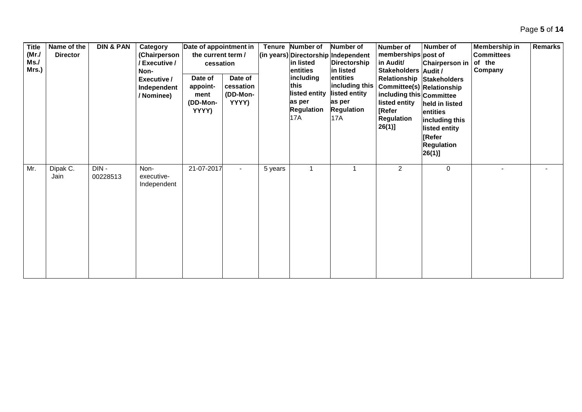| <b>Title</b><br>(MrJ)<br>Ms.<br>Mrs.) | Name of the<br><b>Director</b> | <b>DIN &amp; PAN</b> | Category<br>(Chairperson<br>/ Executive /<br>Non-<br>Executive /<br>Independent<br>/ Nominee) | Date of appointment in<br>the current term /<br>cessation<br>Date of<br>appoint-<br>ment<br>(DD-Mon-<br>YYYY) | Date of<br>cessation<br>(DD-Mon-<br>YYYY) |         | Tenure Number of<br>in listed<br>entities<br>including<br>lthis<br>listed entity<br>as per<br><b>Regulation</b><br>17A | <b>Number of</b><br>(in years) Directorship Independent<br>Directorship<br>in listed<br>entities<br>including this<br>listed entity<br>as per<br><b>Regulation</b><br><b>17A</b> | <b>Number of</b><br>memberships post of<br>in Audit/<br><b>Stakeholders</b><br>Relationship<br>Committee(s) Relationship<br>including this Committee<br>listed entity<br>[Refer<br>Regulation<br>$26(1)$ ] | <b>Number of</b><br><b>Chairperson in</b><br>Audit /<br>Stakeholders<br>held in listed<br>entities<br>including this<br>listed entity<br>[Refer<br><b>Regulation</b><br>$26(1)$ ] | Membership in<br><b>Committees</b><br>of the<br>Company | <b>Remarks</b> |
|---------------------------------------|--------------------------------|----------------------|-----------------------------------------------------------------------------------------------|---------------------------------------------------------------------------------------------------------------|-------------------------------------------|---------|------------------------------------------------------------------------------------------------------------------------|----------------------------------------------------------------------------------------------------------------------------------------------------------------------------------|------------------------------------------------------------------------------------------------------------------------------------------------------------------------------------------------------------|-----------------------------------------------------------------------------------------------------------------------------------------------------------------------------------|---------------------------------------------------------|----------------|
| Mr.                                   | Dipak C.<br>Jain               | DIN-<br>00228513     | Non-<br>executive-<br>Independent                                                             | 21-07-2017                                                                                                    | $\overline{\phantom{0}}$                  | 5 years | 1                                                                                                                      |                                                                                                                                                                                  | $\overline{2}$                                                                                                                                                                                             | 0                                                                                                                                                                                 |                                                         |                |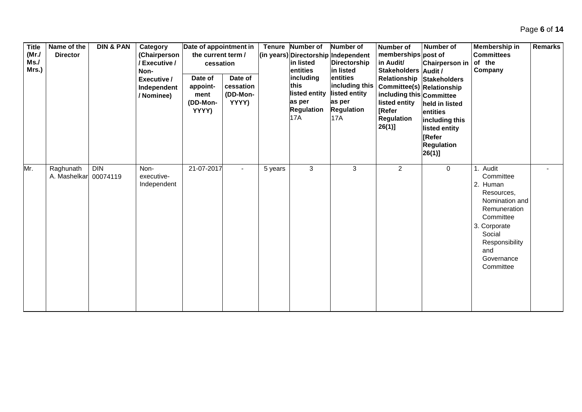| <b>Title</b><br>(MrJ)<br>Ms.<br>Mrs.) | Name of the<br><b>Director</b> | <b>DIN &amp; PAN</b>   | Category<br>(Chairperson<br>/ Executive /<br>Non-<br>Executive /<br>Independent<br>/ Nominee) | Date of appointment in<br>the current term /<br>cessation<br>Date of<br>appoint-<br>ment<br>(DD-Mon-<br>YYYY) | Date of<br>cessation<br>(DD-Mon-<br>YYYY) |         | Tenure Number of<br>in listed<br>entities<br>including<br>this<br>listed entity<br>as per<br><b>Regulation</b><br>17A | <b>Number of</b><br>(in years) Directorship Independent<br>Directorship<br>in listed<br>entities<br>including this<br>listed entity<br>as per<br><b>Regulation</b><br><b>17A</b> | Number of<br>memberships post of<br>in Audit/<br>Stakeholders Audit /<br><b>Committee(s) Relationship</b><br>including this Committee<br>listed entity<br><b>[Refer</b><br>Regulation<br>$26(1)$ ] | <b>Number of</b><br>Chairperson in<br>Relationship Stakeholders<br>held in listed<br>entities<br>including this<br>listed entity<br><b>IRefer</b><br><b>Regulation</b><br>$26(1)$ ] | Membership in<br><b>Committees</b><br>of the<br>Company                                                                                                                      | <b>Remarks</b> |
|---------------------------------------|--------------------------------|------------------------|-----------------------------------------------------------------------------------------------|---------------------------------------------------------------------------------------------------------------|-------------------------------------------|---------|-----------------------------------------------------------------------------------------------------------------------|----------------------------------------------------------------------------------------------------------------------------------------------------------------------------------|----------------------------------------------------------------------------------------------------------------------------------------------------------------------------------------------------|-------------------------------------------------------------------------------------------------------------------------------------------------------------------------------------|------------------------------------------------------------------------------------------------------------------------------------------------------------------------------|----------------|
| Mr.                                   | Raghunath<br>A. Mashelkar      | <b>DIN</b><br>00074119 | Non-<br>executive-<br>Independent                                                             | 21-07-2017                                                                                                    | $\blacksquare$                            | 5 years | 3                                                                                                                     | 3                                                                                                                                                                                | $\overline{2}$                                                                                                                                                                                     | 0                                                                                                                                                                                   | 1. Audit<br>Committee<br>2. Human<br>Resources,<br>Nomination and<br>Remuneration<br>Committee<br>3. Corporate<br>Social<br>Responsibility<br>and<br>Governance<br>Committee | $\blacksquare$ |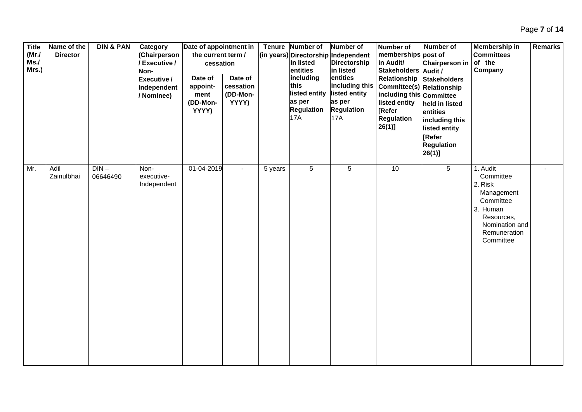| <b>Title</b><br>$(Mr$ ./<br>Ms.<br>Mrs.) | Name of the<br><b>Director</b> | <b>DIN &amp; PAN</b> | Category<br>(Chairperson<br>/ Executive /<br>Non-<br>Executive /<br>Independent<br>/ Nominee) | Date of appointment in<br>the current term /<br>cessation<br>Date of<br>appoint-<br>ment<br>(DD-Mon-<br>YYYY) | Date of<br>cessation<br>(DD-Mon-<br>YYYY) |         | Tenure Number of<br>in listed<br>entities<br>including<br>this<br>listed entity<br>as per<br><b>Regulation</b><br>17A | Number of<br>(in years) Directorship Independent<br>Directorship<br>in listed<br>entities<br>including this<br>listed entity<br>as per<br><b>Regulation</b><br><b>17A</b> | Number of<br>memberships post of<br>in Audit/<br>Stakeholders Audit /<br>Relationship<br>Committee(s) Relationship<br>including this Committee<br>listed entity<br>[Refer<br><b>Regulation</b><br>26(1) | Number of<br><b>Chairperson in</b><br><b>Stakeholders</b><br>held in listed<br>entities<br>including this<br>listed entity<br>[Refer<br><b>Regulation</b><br>$26(1)$ ] | <b>Membership in</b><br><b>Committees</b><br>of the<br>Company                                                                       | <b>Remarks</b> |
|------------------------------------------|--------------------------------|----------------------|-----------------------------------------------------------------------------------------------|---------------------------------------------------------------------------------------------------------------|-------------------------------------------|---------|-----------------------------------------------------------------------------------------------------------------------|---------------------------------------------------------------------------------------------------------------------------------------------------------------------------|---------------------------------------------------------------------------------------------------------------------------------------------------------------------------------------------------------|------------------------------------------------------------------------------------------------------------------------------------------------------------------------|--------------------------------------------------------------------------------------------------------------------------------------|----------------|
| Mr.                                      | Adil<br>Zainulbhai             | $DIN -$<br>06646490  | Non-<br>executive-<br>Independent                                                             | 01-04-2019                                                                                                    | $\blacksquare$                            | 5 years | $\overline{5}$                                                                                                        | $5\phantom{.0}$                                                                                                                                                           | 10                                                                                                                                                                                                      | $\overline{5}$                                                                                                                                                         | 1. Audit<br>Committee<br>2. Risk<br>Management<br>Committee<br>3. Human<br>Resources,<br>Nomination and<br>Remuneration<br>Committee |                |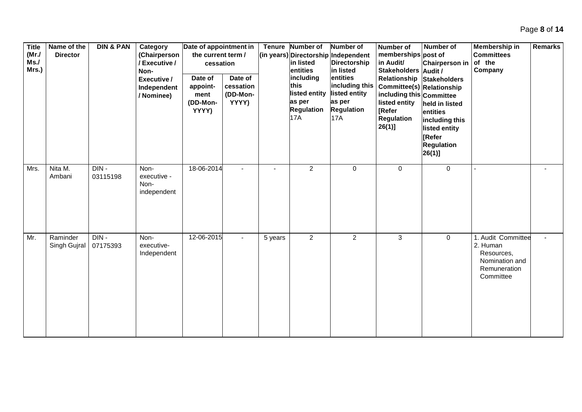| <b>Title</b><br>(MrJ)<br>Ms.<br>Mrs.) | Name of the<br><b>Director</b> | <b>DIN &amp; PAN</b> | Category<br>(Chairperson<br>/ Executive /<br>Non-<br>Executive /<br>Independent<br>/ Nominee) | Date of appointment in<br>the current term /<br>cessation<br>Date of<br>appoint-<br>ment<br>(DD-Mon-<br>YYYY) | Date of<br>cessation<br>(DD-Mon-<br>YYYY) |                | Tenure Number of<br>in listed<br>entities<br>including<br>this<br>listed entity<br>as per<br><b>Regulation</b><br>17A | Number of<br>(in years) Directorship Independent<br><b>Directorship</b><br>in listed<br>entities<br>including this<br>listed entity<br>as per<br><b>Regulation</b><br><b>17A</b> | <b>Number of</b><br>memberships post of<br>in Audit/<br><b>Stakeholders</b><br>Relationship<br>Committee(s) Relationship<br>including this Committee<br>listed entity<br>[Refer<br><b>Regulation</b><br>$26(1)$ ] | <b>Number of</b><br><b>Chairperson in</b><br>Audit /<br>Stakeholders<br>held in listed<br>entities<br>including this<br>listed entity<br>[Refer<br><b>Regulation</b><br>$26(1)$ ] | <b>Membership in</b><br><b>Committees</b><br>of the<br>Company                              | <b>Remarks</b> |
|---------------------------------------|--------------------------------|----------------------|-----------------------------------------------------------------------------------------------|---------------------------------------------------------------------------------------------------------------|-------------------------------------------|----------------|-----------------------------------------------------------------------------------------------------------------------|----------------------------------------------------------------------------------------------------------------------------------------------------------------------------------|-------------------------------------------------------------------------------------------------------------------------------------------------------------------------------------------------------------------|-----------------------------------------------------------------------------------------------------------------------------------------------------------------------------------|---------------------------------------------------------------------------------------------|----------------|
| Mrs.                                  | Nita M.<br>Ambani              | DIN-<br>03115198     | Non-<br>executive -<br>Non-<br>independent                                                    | 18-06-2014                                                                                                    | $\overline{\phantom{a}}$                  | $\blacksquare$ | $\overline{2}$                                                                                                        | $\mathbf 0$                                                                                                                                                                      | 0                                                                                                                                                                                                                 | 0                                                                                                                                                                                 |                                                                                             |                |
| Mr.                                   | Raminder<br>Singh Gujral       | DIN-<br>07175393     | Non-<br>executive-<br>Independent                                                             | 12-06-2015                                                                                                    | $\overline{a}$                            | 5 years        | $\overline{a}$                                                                                                        | $\overline{2}$                                                                                                                                                                   | $\mathfrak{S}$                                                                                                                                                                                                    | 0                                                                                                                                                                                 | 1. Audit Committee<br>2. Human<br>Resources,<br>Nomination and<br>Remuneration<br>Committee |                |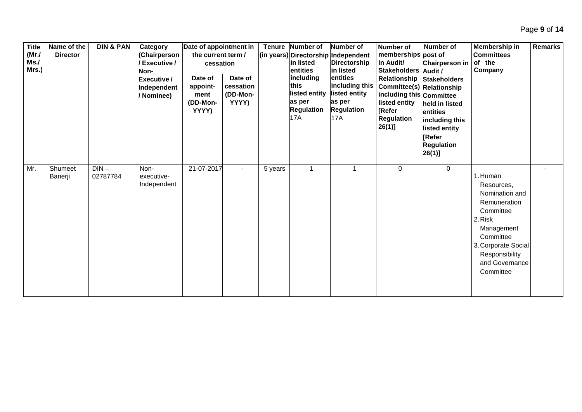| <b>Title</b><br>(MrJ)<br>Ms.<br>Mrs.) | Name of the<br><b>Director</b> | <b>DIN &amp; PAN</b> | Category<br>(Chairperson<br>/ Executive /<br>Non-<br>Executive /<br>Independent<br>/ Nominee) | Date of appointment in<br>the current term /<br>cessation<br>Date of<br>appoint-<br>ment<br>(DD-Mon-<br>YYYY) | Date of<br>cessation<br>(DD-Mon-<br>YYYY) |         | Tenure Number of<br>lin listed<br>entities<br>including<br>this<br>listed entity<br>as per<br><b>Regulation</b><br>17A | <b>Number of</b><br>(in years) Directorship Independent<br><b>Directorship</b><br>in listed<br>entities<br>including this<br>listed entity<br>as per<br><b>Regulation</b><br><b>17A</b> | <b>Number of</b><br>memberships post of<br>in Audit/<br>Stakeholders Audit /<br><b>Committee(s) Relationship</b><br>including this Committee<br>listed entity<br><b>[Refer</b><br><b>Regulation</b><br>$26(1)$ ] | Number of<br>Chairperson in<br>Relationship Stakeholders<br>held in listed<br>entities<br>including this<br>listed entity<br><b>[Refer</b><br><b>Regulation</b><br>$26(1)$ ] | Membership in<br><b>Committees</b><br>of the<br>Company                                                                                                                             | <b>Remarks</b> |
|---------------------------------------|--------------------------------|----------------------|-----------------------------------------------------------------------------------------------|---------------------------------------------------------------------------------------------------------------|-------------------------------------------|---------|------------------------------------------------------------------------------------------------------------------------|-----------------------------------------------------------------------------------------------------------------------------------------------------------------------------------------|------------------------------------------------------------------------------------------------------------------------------------------------------------------------------------------------------------------|------------------------------------------------------------------------------------------------------------------------------------------------------------------------------|-------------------------------------------------------------------------------------------------------------------------------------------------------------------------------------|----------------|
| Mr.                                   | Shumeet<br>Banerji             | $DIN -$<br>02787784  | Non-<br>executive-<br>Independent                                                             | 21-07-2017                                                                                                    | $\overline{\phantom{0}}$                  | 5 years |                                                                                                                        |                                                                                                                                                                                         | $\mathbf 0$                                                                                                                                                                                                      | 0                                                                                                                                                                            | 1. Human<br>Resources,<br>Nomination and<br>Remuneration<br>Committee<br>2. Risk<br>Management<br>Committee<br>3. Corporate Social<br>Responsibility<br>and Governance<br>Committee |                |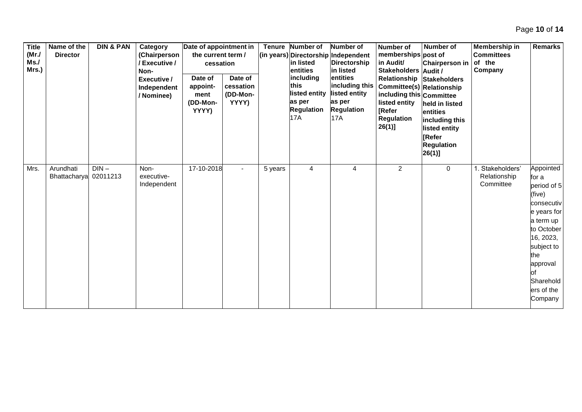**Title (Mr./ Ms./ Mrs.) Name of the Director DIN & PAN Category (Chairperson / Executive / Non-Executive / Independent / Nominee) Date of appointment in the current term / cessation Tenure Number of (in years) Directorship Independent in listed entities including this listed entity as per Regulation** 17A **Number of Directorship in listed entities including this listed entity as per Regulation** 17A **Number of memberships post of in Audit/ Stakeholders Audit / Relationship Committee(s) Relationship including this Committee listed entity [Refer Regulation 26(1)] Number of Chairperson in Stakeholders held in listed entities including this listed entity [Refer Regulation 26(1)] Membership in Committees of the Company Remarks Date of appointment (DD-Mon-YYYY) Date of cessation (DD-Mon-YYYY)** Mrs. Arundhati Bhattacharya  $DIN -$ 02011213 Nonexecutive-Independent 17-10-2018 - 5 years 4 4 4 2 0 1. Stakeholders' Relationship **Committee** Appointed for a period of 5 (five) consecutiv e years for a term up to October 16, 2023, subject to the approval of **Sharehold** ers of the **Company** 

Page **10** of **14**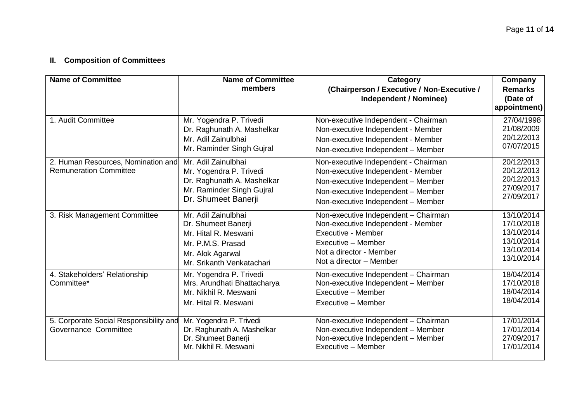## **II. Composition of Committees**

| <b>Name of Committee</b>                                            | <b>Name of Committee</b><br>members                                                                                                      | Category<br>(Chairperson / Executive / Non-Executive /<br><b>Independent / Nominee)</b>                                                                                                      | Company<br><b>Remarks</b><br>(Date of<br>appointment)                            |
|---------------------------------------------------------------------|------------------------------------------------------------------------------------------------------------------------------------------|----------------------------------------------------------------------------------------------------------------------------------------------------------------------------------------------|----------------------------------------------------------------------------------|
| 1. Audit Committee                                                  | Mr. Yogendra P. Trivedi<br>Dr. Raghunath A. Mashelkar<br>Mr. Adil Zainulbhai<br>Mr. Raminder Singh Gujral                                | Non-executive Independent - Chairman<br>Non-executive Independent - Member<br>Non-executive Independent - Member<br>Non-executive Independent - Member                                       | 27/04/1998<br>21/08/2009<br>20/12/2013<br>07/07/2015                             |
| 2. Human Resources, Nomination and<br><b>Remuneration Committee</b> | Mr. Adil Zainulbhai<br>Mr. Yogendra P. Trivedi<br>Dr. Raghunath A. Mashelkar<br>Mr. Raminder Singh Gujral<br>Dr. Shumeet Banerji         | Non-executive Independent - Chairman<br>Non-executive Independent - Member<br>Non-executive Independent - Member<br>Non-executive Independent - Member<br>Non-executive Independent - Member | 20/12/2013<br>20/12/2013<br>20/12/2013<br>27/09/2017<br>27/09/2017               |
| 3. Risk Management Committee                                        | Mr. Adil Zainulbhai<br>Dr. Shumeet Banerji<br>Mr. Hital R. Meswani<br>Mr. P.M.S. Prasad<br>Mr. Alok Agarwal<br>Mr. Srikanth Venkatachari | Non-executive Independent - Chairman<br>Non-executive Independent - Member<br>Executive - Member<br>Executive - Member<br>Not a director - Member<br>Not a director - Member                 | 13/10/2014<br>17/10/2018<br>13/10/2014<br>13/10/2014<br>13/10/2014<br>13/10/2014 |
| 4. Stakeholders' Relationship<br>Committee*                         | Mr. Yogendra P. Trivedi<br>Mrs. Arundhati Bhattacharya<br>Mr. Nikhil R. Meswani<br>Mr. Hital R. Meswani                                  | Non-executive Independent - Chairman<br>Non-executive Independent - Member<br>Executive - Member<br>Executive - Member                                                                       | 18/04/2014<br>17/10/2018<br>18/04/2014<br>18/04/2014                             |
| 5. Corporate Social Responsibility and<br>Governance Committee      | Mr. Yogendra P. Trivedi<br>Dr. Raghunath A. Mashelkar<br>Dr. Shumeet Banerji<br>Mr. Nikhil R. Meswani                                    | Non-executive Independent - Chairman<br>Non-executive Independent - Member<br>Non-executive Independent - Member<br>Executive - Member                                                       | 17/01/2014<br>17/01/2014<br>27/09/2017<br>17/01/2014                             |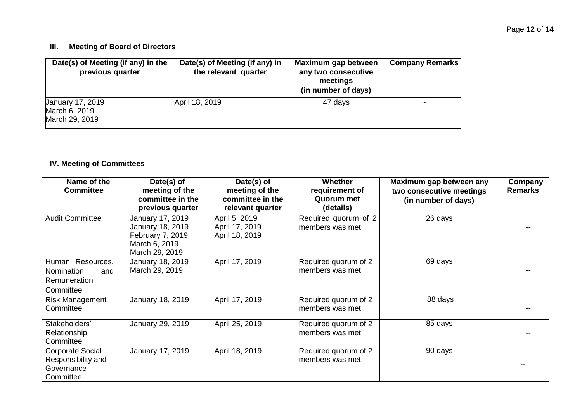### **III. Meeting of Board of Directors**

| Date(s) of Meeting (if any) in the<br>previous quarter     | Date(s) of Meeting (if any) in<br>the relevant quarter | Maximum gap between<br>any two consecutive<br>meetings<br>(in number of days) | <b>Company Remarks</b> |
|------------------------------------------------------------|--------------------------------------------------------|-------------------------------------------------------------------------------|------------------------|
| <b>January 17, 2019</b><br>March 6, 2019<br>March 29, 2019 | April 18, 2019                                         | 47 days                                                                       |                        |

## **IV. Meeting of Committees**

| Name of the<br><b>Committee</b>                                           | Date(s) of<br>meeting of the<br>committee in the<br>previous quarter                        | Date(s) of<br>meeting of the<br>committee in the<br>relevant quarter | <b>Whether</b><br>requirement of<br>Quorum met<br>(details) | Maximum gap between any<br>two consecutive meetings<br>(in number of days) | Company<br><b>Remarks</b> |
|---------------------------------------------------------------------------|---------------------------------------------------------------------------------------------|----------------------------------------------------------------------|-------------------------------------------------------------|----------------------------------------------------------------------------|---------------------------|
| <b>Audit Committee</b>                                                    | January 17, 2019<br>January 18, 2019<br>February 7, 2019<br>March 6, 2019<br>March 29, 2019 | April 5, 2019<br>April 17, 2019<br>April 18, 2019                    | Required quorum of 2<br>members was met                     | 26 days                                                                    |                           |
| Human Resources,<br><b>Nomination</b><br>and<br>Remuneration<br>Committee | January 18, 2019<br>March 29, 2019                                                          | April 17, 2019                                                       | Required quorum of 2<br>members was met                     | 69 days                                                                    |                           |
| <b>Risk Management</b><br>Committee                                       | January 18, 2019                                                                            | April 17, 2019                                                       | Required quorum of 2<br>members was met                     | 88 days                                                                    |                           |
| Stakeholders'<br>Relationship<br>Committee                                | January 29, 2019                                                                            | April 25, 2019                                                       | Required quorum of 2<br>members was met                     | 85 days                                                                    |                           |
| Corporate Social<br>Responsibility and<br>Governance<br>Committee         | January 17, 2019                                                                            | April 18, 2019                                                       | Required quorum of 2<br>members was met                     | 90 days                                                                    |                           |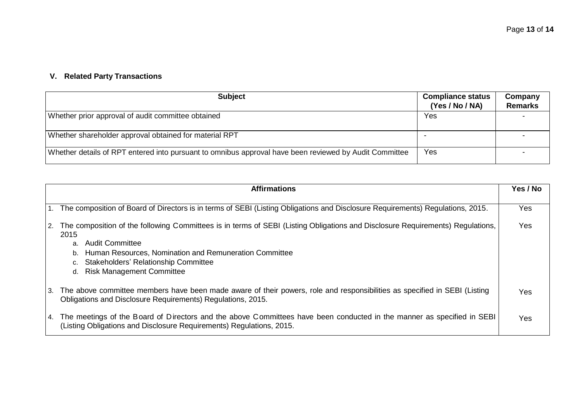# **V. Related Party Transactions**

| <b>Subject</b>                                                                                         | <b>Compliance status</b><br>(Yes / No / NA) | Company<br><b>Remarks</b> |
|--------------------------------------------------------------------------------------------------------|---------------------------------------------|---------------------------|
| Whether prior approval of audit committee obtained                                                     | Yes                                         |                           |
| Whether shareholder approval obtained for material RPT                                                 |                                             |                           |
| Whether details of RPT entered into pursuant to omnibus approval have been reviewed by Audit Committee | Yes                                         |                           |

|    | <b>Affirmations</b>                                                                                                                                                                                                                                                                                                                   | Yes / No |
|----|---------------------------------------------------------------------------------------------------------------------------------------------------------------------------------------------------------------------------------------------------------------------------------------------------------------------------------------|----------|
|    | 1. The composition of Board of Directors is in terms of SEBI (Listing Obligations and Disclosure Requirements) Regulations, 2015.                                                                                                                                                                                                     | Yes      |
| 2. | The composition of the following Committees is in terms of SEBI (Listing Obligations and Disclosure Requirements) Regulations,<br>2015<br><b>Audit Committee</b><br>a.<br>Human Resources, Nomination and Remuneration Committee<br>b.<br><b>Stakeholders' Relationship Committee</b><br>c.<br><b>Risk Management Committee</b><br>d. | Yes      |
|    | 3. The above committee members have been made aware of their powers, role and responsibilities as specified in SEBI (Listing<br>Obligations and Disclosure Requirements) Regulations, 2015.                                                                                                                                           | Yes      |
|    | 4. The meetings of the Board of Directors and the above Committees have been conducted in the manner as specified in SEBI<br>(Listing Obligations and Disclosure Requirements) Regulations, 2015.                                                                                                                                     | Yes      |